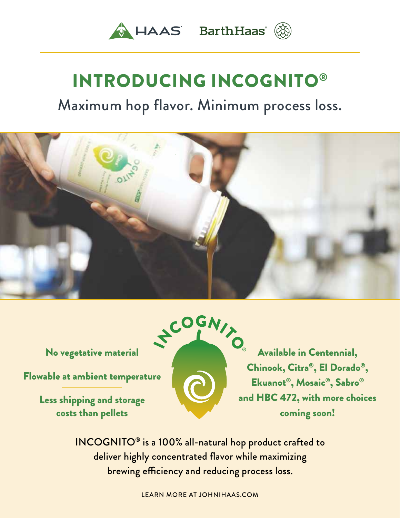

# INTRODUCING INCOGNITO®

# Maximum hop flavor. Minimum process loss.



No vegetative material

Flowable at ambient temperature

Less shipping and storage costs than pellets



Available in Centennial, Chinook, Citra®, El Dorado® , Ekuanot®, Mosaic®, Sabro® and HBC 472, with more choices coming soon!

INCOGNITO® is a 100% all-natural hop product crafted to deliver highly concentrated flavor while maximizing brewing efficiency and reducing process loss.

LEARN MORE AT JOHNIHAAS.COM